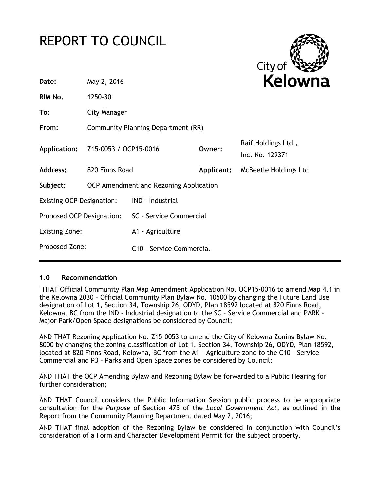# REPORT TO COUNCIL



| Date:                            | May 2, 2016                            |                                      |            | <b>Kelown</b>                          |  |
|----------------------------------|----------------------------------------|--------------------------------------|------------|----------------------------------------|--|
| RIM No.                          | 1250-30                                |                                      |            |                                        |  |
| To:                              | <b>City Manager</b>                    |                                      |            |                                        |  |
| From:                            | Community Planning Department (RR)     |                                      |            |                                        |  |
| Application:                     | Z15-0053 / OCP15-0016                  |                                      | Owner:     | Raif Holdings Ltd.,<br>Inc. No. 129371 |  |
| <b>Address:</b>                  | 820 Finns Road                         |                                      | Applicant: | McBeetle Holdings Ltd                  |  |
| Subject:                         | OCP Amendment and Rezoning Application |                                      |            |                                        |  |
| <b>Existing OCP Designation:</b> |                                        | IND - Industrial                     |            |                                        |  |
| Proposed OCP Designation:        |                                        | SC - Service Commercial              |            |                                        |  |
| <b>Existing Zone:</b>            |                                        | A1 - Agriculture                     |            |                                        |  |
| Proposed Zone:                   |                                        | C <sub>10</sub> - Service Commercial |            |                                        |  |
|                                  |                                        |                                      |            |                                        |  |

### **1.0 Recommendation**

THAT Official Community Plan Map Amendment Application No. OCP15-0016 to amend Map 4.1 in the Kelowna 2030 – Official Community Plan Bylaw No. 10500 by changing the Future Land Use designation of Lot 1, Section 34, Township 26, ODYD, Plan 18592 located at 820 Finns Road, Kelowna, BC from the IND - Industrial designation to the SC – Service Commercial and PARK – Major Park/Open Space designations be considered by Council;

AND THAT Rezoning Application No. Z15-0053 to amend the City of Kelowna Zoning Bylaw No. 8000 by changing the zoning classification of Lot 1, Section 34, Township 26, ODYD, Plan 18592, located at 820 Finns Road, Kelowna, BC from the A1 – Agriculture zone to the C10 – Service Commercial and P3 – Parks and Open Space zones be considered by Council;

AND THAT the OCP Amending Bylaw and Rezoning Bylaw be forwarded to a Public Hearing for further consideration;

AND THAT Council considers the Public Information Session public process to be appropriate consultation for the *Purpose* of Section 475 of the *Local Government Act*, as outlined in the Report from the Community Planning Department dated May 2, 2016;

AND THAT final adoption of the Rezoning Bylaw be considered in conjunction with Council's consideration of a Form and Character Development Permit for the subject property.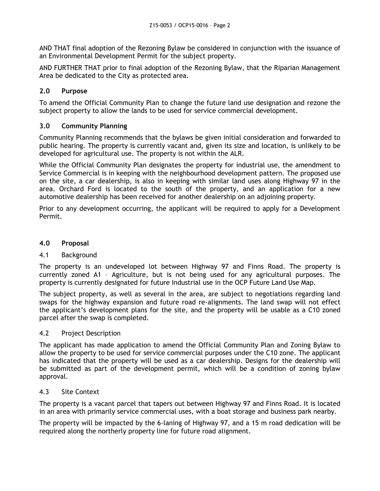AND THAT final adoption of the Rezoning Bylaw be considered in conjunction with the issuance of an Environmental Development Permit for the subject property.

AND FURTHER THAT prior to final adoption of the Rezoning Bylaw, that the Riparian Management Area be dedicated to the City as protected area.

# **2.0 Purpose**

To amend the Official Community Plan to change the future land use designation and rezone the subject property to allow the lands to be used for service commercial development.

# **3.0 Community Planning**

Community Planning recommends that the bylaws be given initial consideration and forwarded to public hearing. The property is currently vacant and, given its size and location, is unlikely to be developed for agricultural use. The property is not within the ALR.

While the Official Community Plan designates the property for industrial use, the amendment to Service Commercial is in keeping with the neighbourhood development pattern. The proposed use on the site, a car dealership, is also in keeping with similar land uses along Highway 97 in the area. Orchard Ford is located to the south of the property, and an application for a new automotive dealership has been received for another dealership on an adjoining property.

Prior to any development occurring, the applicant will be required to apply for a Development Permit.

### **4.0 Proposal**

### 4.1 Background

The property is an undeveloped lot between Highway 97 and Finns Road. The property is currently zoned A1 – Agriculture, but is not being used for any agricultural purposes. The property is currently designated for future Industrial use in the OCP Future Land Use Map.

The subject property, as well as several in the area, are subject to negotiations regarding land swaps for the highway expansion and future road re-alignments. The land swap will not effect the applicant's development plans for the site, and the property will be usable as a C10 zoned parcel after the swap is completed.

### 4.2 Project Description

The applicant has made application to amend the Official Community Plan and Zoning Bylaw to allow the property to be used for service commercial purposes under the C10 zone. The applicant has indicated that the property will be used as a car dealership. Designs for the dealership will be submitted as part of the development permit, which will be a condition of zoning bylaw approval.

### 4.3 Site Context

The property is a vacant parcel that tapers out between Highway 97 and Finns Road. It is located in an area with primarily service commercial uses, with a boat storage and business park nearby.

The property will be impacted by the 6-laning of Highway 97, and a 15 m road dedication will be required along the northerly property line for future road alignment.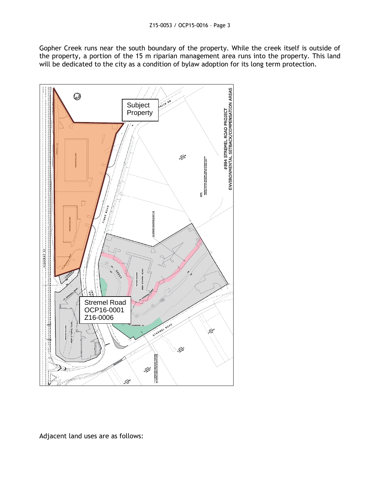Gopher Creek runs near the south boundary of the property. While the creek itself is outside of the property, a portion of the 15 m riparian management area runs into the property. This land will be dedicated to the city as a condition of bylaw adoption for its long term protection.



Adjacent land uses are as follows: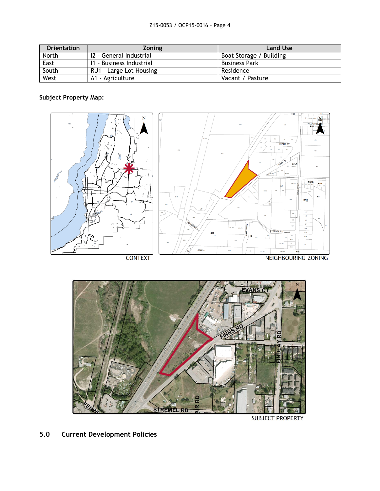| <b>Orientation</b> | <b>Zoning</b>            | <b>Land Use</b>         |
|--------------------|--------------------------|-------------------------|
| North              | 12 - General Industrial  | Boat Storage / Building |
| East               | 11 - Business Industrial | <b>Business Park</b>    |
| South              | RU1 - Large Lot Housing  | Residence               |
| West               | A1 - Agriculture         | Vacant / Pasture        |

# **Subject Property Map:**





**SUBJECT PROPERTY** 

# **5.0 Current Development Policies**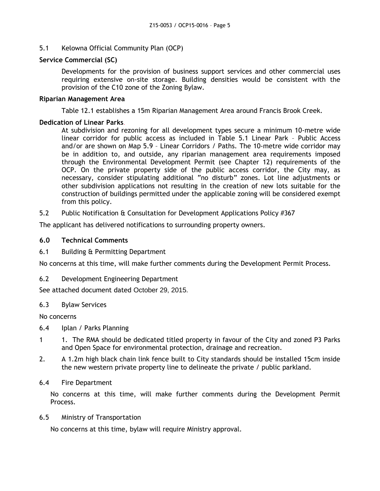### 5.1 Kelowna Official Community Plan (OCP)

#### **Service Commercial (SC)**

Developments for the provision of business support services and other commercial uses requiring extensive on-site storage. Building densities would be consistent with the provision of the C10 zone of the Zoning Bylaw.

#### **Riparian Management Area**

Table 12.1 establishes a 15m Riparian Management Area around Francis Brook Creek.

#### **Dedication of Linear Parks**.

At subdivision and rezoning for all development types secure a minimum 10-metre wide linear corridor for public access as included in Table 5.1 Linear Park – Public Access and/or are shown on Map 5.9 – Linear Corridors / Paths. The 10-metre wide corridor may be in addition to, and outside, any riparian management area requirements imposed through the Environmental Development Permit (see Chapter 12) requirements of the OCP. On the private property side of the public access corridor, the City may, as necessary, consider stipulating additional "no disturb" zones. Lot line adjustments or other subdivision applications not resulting in the creation of new lots suitable for the construction of buildings permitted under the applicable zoning will be considered exempt from this policy.

5.2 Public Notification & Consultation for Development Applications Policy #367

The applicant has delivered notifications to surrounding property owners.

#### **6.0 Technical Comments**

6.1 Building & Permitting Department

No concerns at this time, will make further comments during the Development Permit Process.

6.2 Development Engineering Department

See attached document dated October 29, 2015.

### 6.3 Bylaw Services

No concerns

- 6.4 Iplan / Parks Planning
- 1 1. The RMA should be dedicated titled property in favour of the City and zoned P3 Parks and Open Space for environmental protection, drainage and recreation.
- 2. A 1.2m high black chain link fence built to City standards should be installed 15cm inside the new western private property line to delineate the private / public parkland.

### 6.4 Fire Department

No concerns at this time, will make further comments during the Development Permit Process.

#### 6.5 Ministry of Transportation

No concerns at this time, bylaw will require Ministry approval.